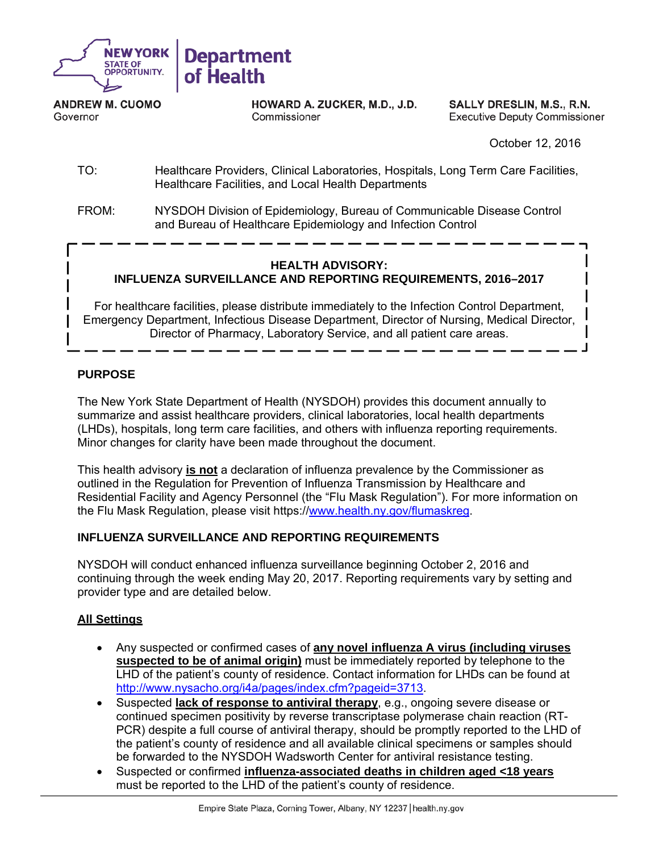

**ANDREW M. CUOMO** Governor

HOWARD A. ZUCKER, M.D., J.D. Commissioner

SALLY DRESLIN, M.S., R.N. **Executive Deputy Commissioner** 

October 12, 2016

- TO: Healthcare Providers, Clinical Laboratories, Hospitals, Long Term Care Facilities, Healthcare Facilities, and Local Health Departments
- FROM: NYSDOH Division of Epidemiology, Bureau of Communicable Disease Control and Bureau of Healthcare Epidemiology and Infection Control

#### **HEALTH ADVISORY: INFLUENZA SURVEILLANCE AND REPORTING REQUIREMENTS, 2016–2017**

For healthcare facilities, please distribute immediately to the Infection Control Department, Emergency Department, Infectious Disease Department, Director of Nursing, Medical Director, Director of Pharmacy, Laboratory Service, and all patient care areas.

## **PURPOSE**

The New York State Department of Health (NYSDOH) provides this document annually to summarize and assist healthcare providers, clinical laboratories, local health departments (LHDs), hospitals, long term care facilities, and others with influenza reporting requirements. Minor changes for clarity have been made throughout the document.

This health advisory **is not** a declaration of influenza prevalence by the Commissioner as outlined in the Regulation for Prevention of Influenza Transmission by Healthcare and Residential Facility and Agency Personnel (the "Flu Mask Regulation"). For more information on the Flu Mask Regulation, please visit https://www.health.ny.gov/flumaskreg.

#### **INFLUENZA SURVEILLANCE AND REPORTING REQUIREMENTS**

NYSDOH will conduct enhanced influenza surveillance beginning October 2, 2016 and continuing through the week ending May 20, 2017. Reporting requirements vary by setting and provider type and are detailed below.

#### **All Settings**

- Any suspected or confirmed cases of **any novel influenza A virus (including viruses suspected to be of animal origin)** must be immediately reported by telephone to the LHD of the patient's county of residence. Contact information for LHDs can be found at http://www.nysacho.org/i4a/pages/index.cfm?pageid=3713.
- Suspected **lack of response to antiviral therapy**, e.g., ongoing severe disease or continued specimen positivity by reverse transcriptase polymerase chain reaction (RT-PCR) despite a full course of antiviral therapy, should be promptly reported to the LHD of the patient's county of residence and all available clinical specimens or samples should be forwarded to the NYSDOH Wadsworth Center for antiviral resistance testing.
- Suspected or confirmed **influenza-associated deaths in children aged <18 years**  must be reported to the LHD of the patient's county of residence.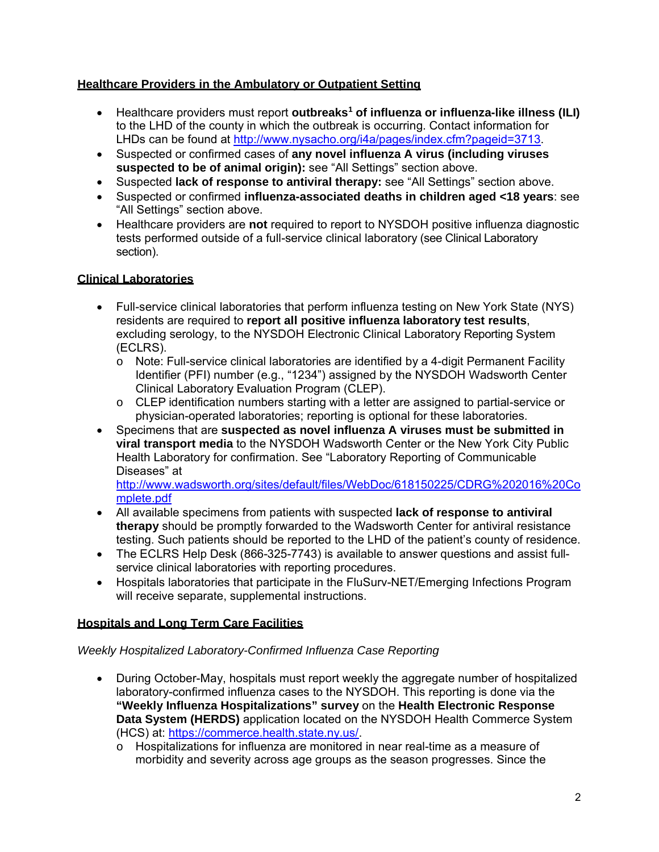#### **Healthcare Providers in the Ambulatory or Outpatient Setting**

- Healthcare providers must report **outbreaks1 of influenza or influenza-like illness (ILI)** to the LHD of the county in which the outbreak is occurring. Contact information for LHDs can be found at http://www.nysacho.org/i4a/pages/index.cfm?pageid=3713.
- Suspected or confirmed cases of **any novel influenza A virus (including viruses suspected to be of animal origin):** see "All Settings" section above.
- Suspected **lack of response to antiviral therapy:** see "All Settings" section above.
- Suspected or confirmed **influenza-associated deaths in children aged <18 years**: see "All Settings" section above.
- Healthcare providers are **not** required to report to NYSDOH positive influenza diagnostic tests performed outside of a full-service clinical laboratory (see Clinical Laboratory section).

# **Clinical Laboratories**

- Full-service clinical laboratories that perform influenza testing on New York State (NYS) residents are required to **report all positive influenza laboratory test results**, excluding serology, to the NYSDOH Electronic Clinical Laboratory Reporting System (ECLRS).
	- o Note: Full-service clinical laboratories are identified by a 4-digit Permanent Facility Identifier (PFI) number (e.g., "1234") assigned by the NYSDOH Wadsworth Center Clinical Laboratory Evaluation Program (CLEP).
	- o CLEP identification numbers starting with a letter are assigned to partial-service or physician-operated laboratories; reporting is optional for these laboratories.
- Specimens that are **suspected as novel influenza A viruses must be submitted in viral transport media** to the NYSDOH Wadsworth Center or the New York City Public Health Laboratory for confirmation. See "Laboratory Reporting of Communicable Diseases" at

http://www.wadsworth.org/sites/default/files/WebDoc/618150225/CDRG%202016%20Co mplete.pdf

- All available specimens from patients with suspected **lack of response to antiviral therapy** should be promptly forwarded to the Wadsworth Center for antiviral resistance testing. Such patients should be reported to the LHD of the patient's county of residence.
- The ECLRS Help Desk (866-325-7743) is available to answer questions and assist fullservice clinical laboratories with reporting procedures.
- Hospitals laboratories that participate in the FluSurv-NET/Emerging Infections Program will receive separate, supplemental instructions.

## **Hospitals and Long Term Care Facilities**

## *Weekly Hospitalized Laboratory-Confirmed Influenza Case Reporting*

- During October-May, hospitals must report weekly the aggregate number of hospitalized laboratory-confirmed influenza cases to the NYSDOH. This reporting is done via the **"Weekly Influenza Hospitalizations" survey** on the **Health Electronic Response Data System (HERDS)** application located on the NYSDOH Health Commerce System (HCS) at: https://commerce.health.state.ny.us/.
	- o Hospitalizations for influenza are monitored in near real-time as a measure of morbidity and severity across age groups as the season progresses. Since the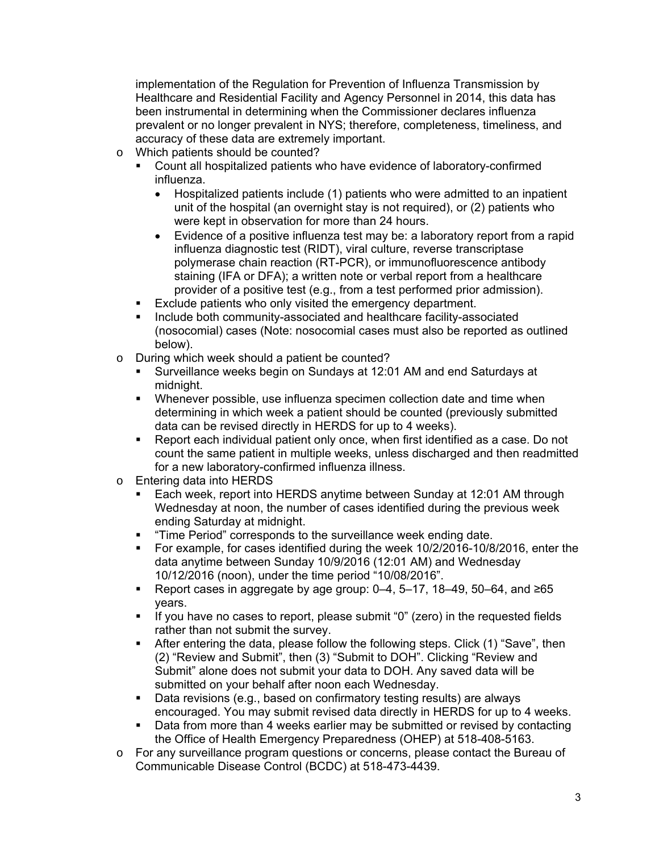implementation of the Regulation for Prevention of Influenza Transmission by Healthcare and Residential Facility and Agency Personnel in 2014, this data has been instrumental in determining when the Commissioner declares influenza prevalent or no longer prevalent in NYS; therefore, completeness, timeliness, and accuracy of these data are extremely important.

- o Which patients should be counted?
	- Count all hospitalized patients who have evidence of laboratory-confirmed influenza.
		- Hospitalized patients include (1) patients who were admitted to an inpatient unit of the hospital (an overnight stay is not required), or (2) patients who were kept in observation for more than 24 hours.
		- Evidence of a positive influenza test may be: a laboratory report from a rapid influenza diagnostic test (RIDT), viral culture, reverse transcriptase polymerase chain reaction (RT-PCR), or immunofluorescence antibody staining (IFA or DFA); a written note or verbal report from a healthcare provider of a positive test (e.g., from a test performed prior admission).
	- **Exclude patients who only visited the emergency department.**
	- Include both community-associated and healthcare facility-associated (nosocomial) cases (Note: nosocomial cases must also be reported as outlined below).
- o During which week should a patient be counted?
	- Surveillance weeks begin on Sundays at 12:01 AM and end Saturdays at midnight.
	- Whenever possible, use influenza specimen collection date and time when determining in which week a patient should be counted (previously submitted data can be revised directly in HERDS for up to 4 weeks).
	- Report each individual patient only once, when first identified as a case. Do not count the same patient in multiple weeks, unless discharged and then readmitted for a new laboratory-confirmed influenza illness.
- o Entering data into HERDS
	- Each week, report into HERDS anytime between Sunday at 12:01 AM through Wednesday at noon, the number of cases identified during the previous week ending Saturday at midnight.
	- **Time Period**" corresponds to the surveillance week ending date.
	- For example, for cases identified during the week 10/2/2016-10/8/2016, enter the data anytime between Sunday 10/9/2016 (12:01 AM) and Wednesday 10/12/2016 (noon), under the time period "10/08/2016".
	- Report cases in aggregate by age group:  $0-4$ ,  $5-17$ ,  $18-49$ ,  $50-64$ , and  $\geq 65$ years.
	- If you have no cases to report, please submit "0" (zero) in the requested fields rather than not submit the survey.
	- After entering the data, please follow the following steps. Click (1) "Save", then (2) "Review and Submit", then (3) "Submit to DOH". Clicking "Review and Submit" alone does not submit your data to DOH. Any saved data will be submitted on your behalf after noon each Wednesday.
	- **Data revisions (e.g., based on confirmatory testing results) are always** encouraged. You may submit revised data directly in HERDS for up to 4 weeks.
	- Data from more than 4 weeks earlier may be submitted or revised by contacting the Office of Health Emergency Preparedness (OHEP) at 518-408-5163.
- o For any surveillance program questions or concerns, please contact the Bureau of Communicable Disease Control (BCDC) at 518-473-4439.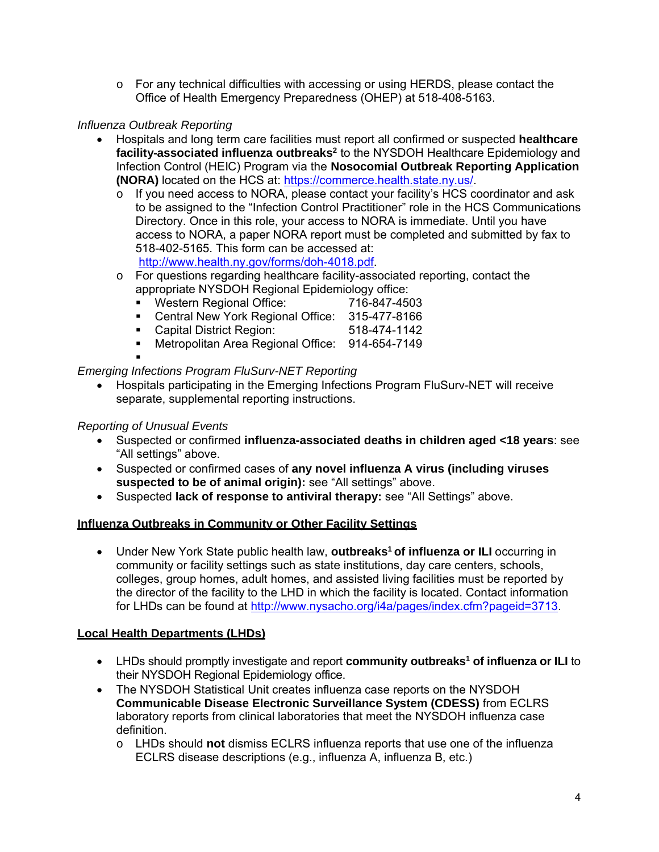$\circ$  For any technical difficulties with accessing or using HERDS, please contact the Office of Health Emergency Preparedness (OHEP) at 518-408-5163.

#### *Influenza Outbreak Reporting*

- Hospitals and long term care facilities must report all confirmed or suspected **healthcare**  facility-associated influenza outbreaks<sup>2</sup> to the NYSDOH Healthcare Epidemiology and Infection Control (HEIC) Program via the **Nosocomial Outbreak Reporting Application (NORA)** located on the HCS at: https://commerce.health.state.ny.us/.
	- $\circ$  If you need access to NORA, please contact your facility's HCS coordinator and ask to be assigned to the "Infection Control Practitioner" role in the HCS Communications Directory. Once in this role, your access to NORA is immediate. Until you have access to NORA, a paper NORA report must be completed and submitted by fax to 518-402-5165. This form can be accessed at: http://www.health.ny.gov/forms/doh-4018.pdf.
	- $\circ$  For questions regarding healthcare facility-associated reporting, contact the appropriate NYSDOH Regional Epidemiology office:
		- Western Regional Office: 716-847-4503
		- Central New York Regional Office: 315-477-8166
		- Capital District Region: 518-474-1142
		- **Metropolitan Area Regional Office: 914-654-7149**

#### ۰

#### *Emerging Infections Program FluSurv-NET Reporting*

 Hospitals participating in the Emerging Infections Program FluSurv-NET will receive separate, supplemental reporting instructions.

#### *Reporting of Unusual Events*

- Suspected or confirmed **influenza-associated deaths in children aged <18 years**: see "All settings" above.
- Suspected or confirmed cases of **any novel influenza A virus (including viruses suspected to be of animal origin):** see "All settings" above.
- Suspected **lack of response to antiviral therapy:** see "All Settings" above.

## **Influenza Outbreaks in Community or Other Facility Settings**

• Under New York State public health law, **outbreaks<sup>1</sup> of influenza or ILI** occurring in community or facility settings such as state institutions, day care centers, schools, colleges, group homes, adult homes, and assisted living facilities must be reported by the director of the facility to the LHD in which the facility is located. Contact information for LHDs can be found at http://www.nysacho.org/i4a/pages/index.cfm?pageid=3713.

## **Local Health Departments (LHDs)**

- LHDs should promptly investigate and report **community outbreaks<sup>1</sup> of influenza or ILI** to their NYSDOH Regional Epidemiology office.
- The NYSDOH Statistical Unit creates influenza case reports on the NYSDOH **Communicable Disease Electronic Surveillance System (CDESS)** from ECLRS laboratory reports from clinical laboratories that meet the NYSDOH influenza case definition.
	- o LHDs should **not** dismiss ECLRS influenza reports that use one of the influenza ECLRS disease descriptions (e.g., influenza A, influenza B, etc.)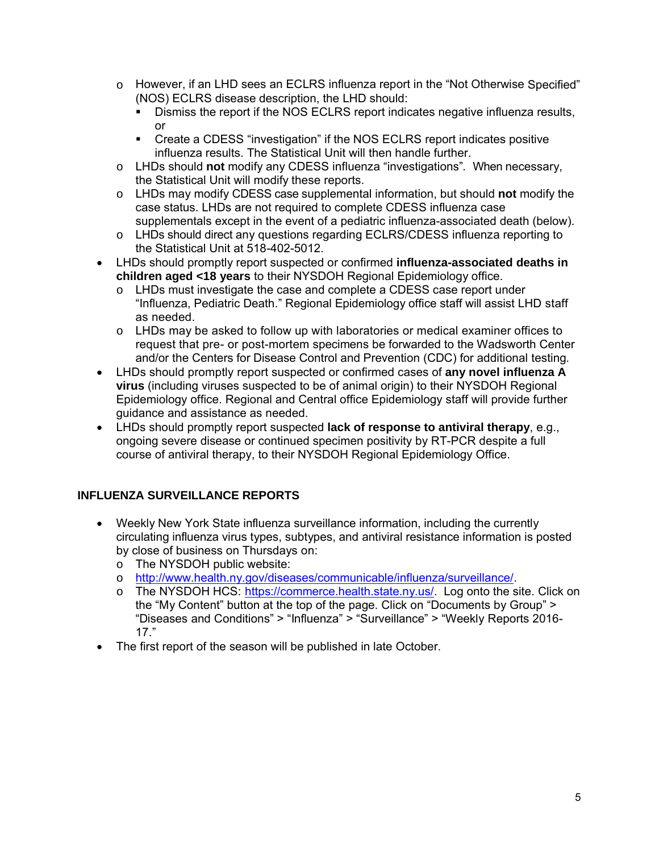- o However, if an LHD sees an ECLRS influenza report in the "Not Otherwise Specified" (NOS) ECLRS disease description, the LHD should:
	- Dismiss the report if the NOS ECLRS report indicates negative influenza results, or
	- Create a CDESS "investigation" if the NOS ECLRS report indicates positive influenza results. The Statistical Unit will then handle further.
- o LHDs should **not** modify any CDESS influenza "investigations"*.* When necessary, the Statistical Unit will modify these reports.
- o LHDs may modify CDESS case supplemental information, but should **not** modify the case status. LHDs are not required to complete CDESS influenza case supplementals except in the event of a pediatric influenza-associated death (below).
- o LHDs should direct any questions regarding ECLRS/CDESS influenza reporting to the Statistical Unit at 518-402-5012.
- LHDs should promptly report suspected or confirmed **influenza-associated deaths in children aged <18 years** to their NYSDOH Regional Epidemiology office.
	- $\circ$  LHDs must investigate the case and complete a CDESS case report under "Influenza, Pediatric Death." Regional Epidemiology office staff will assist LHD staff as needed.
	- o LHDs may be asked to follow up with laboratories or medical examiner offices to request that pre- or post-mortem specimens be forwarded to the Wadsworth Center and/or the Centers for Disease Control and Prevention (CDC) for additional testing.
- LHDs should promptly report suspected or confirmed cases of **any novel influenza A virus** (including viruses suspected to be of animal origin) to their NYSDOH Regional Epidemiology office. Regional and Central office Epidemiology staff will provide further guidance and assistance as needed.
- LHDs should promptly report suspected **lack of response to antiviral therapy**, e.g., ongoing severe disease or continued specimen positivity by RT-PCR despite a full course of antiviral therapy, to their NYSDOH Regional Epidemiology Office.

# **INFLUENZA SURVEILLANCE REPORTS**

- Weekly New York State influenza surveillance information, including the currently circulating influenza virus types, subtypes, and antiviral resistance information is posted by close of business on Thursdays on:
	- o The NYSDOH public website:
	- o http://www.health.ny.gov/diseases/communicable/influenza/surveillance/.
	- o The NYSDOH HCS: https://commerce.health.state.ny.us/. Log onto the site. Click on the "My Content" button at the top of the page. Click on "Documents by Group" > "Diseases and Conditions" > "Influenza" > "Surveillance" > "Weekly Reports 2016- 17."
- The first report of the season will be published in late October.